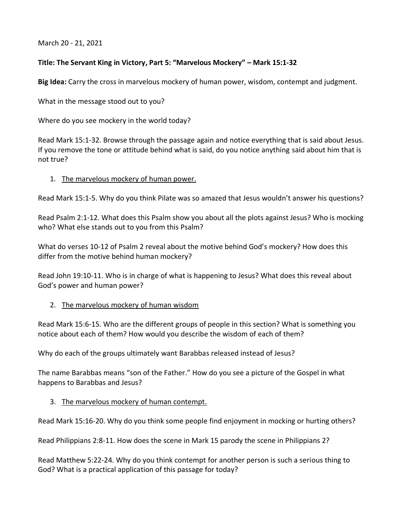March 20 - 21, 2021

# **Title: The Servant King in Victory, Part 5: "Marvelous Mockery" – Mark 15:1-32**

**Big Idea:** Carry the cross in marvelous mockery of human power, wisdom, contempt and judgment.

What in the message stood out to you?

Where do you see mockery in the world today?

Read Mark 15:1-32. Browse through the passage again and notice everything that is said about Jesus. If you remove the tone or attitude behind what is said, do you notice anything said about him that is not true?

## 1. The marvelous mockery of human power.

Read Mark 15:1-5. Why do you think Pilate was so amazed that Jesus wouldn't answer his questions?

Read Psalm 2:1-12. What does this Psalm show you about all the plots against Jesus? Who is mocking who? What else stands out to you from this Psalm?

What do verses 10-12 of Psalm 2 reveal about the motive behind God's mockery? How does this differ from the motive behind human mockery?

Read John 19:10-11. Who is in charge of what is happening to Jesus? What does this reveal about God's power and human power?

## 2. The marvelous mockery of human wisdom

Read Mark 15:6-15. Who are the different groups of people in this section? What is something you notice about each of them? How would you describe the wisdom of each of them?

Why do each of the groups ultimately want Barabbas released instead of Jesus?

The name Barabbas means "son of the Father." How do you see a picture of the Gospel in what happens to Barabbas and Jesus?

## 3. The marvelous mockery of human contempt.

Read Mark 15:16-20. Why do you think some people find enjoyment in mocking or hurting others?

Read Philippians 2:8-11. How does the scene in Mark 15 parody the scene in Philippians 2?

Read Matthew 5:22-24. Why do you think contempt for another person is such a serious thing to God? What is a practical application of this passage for today?